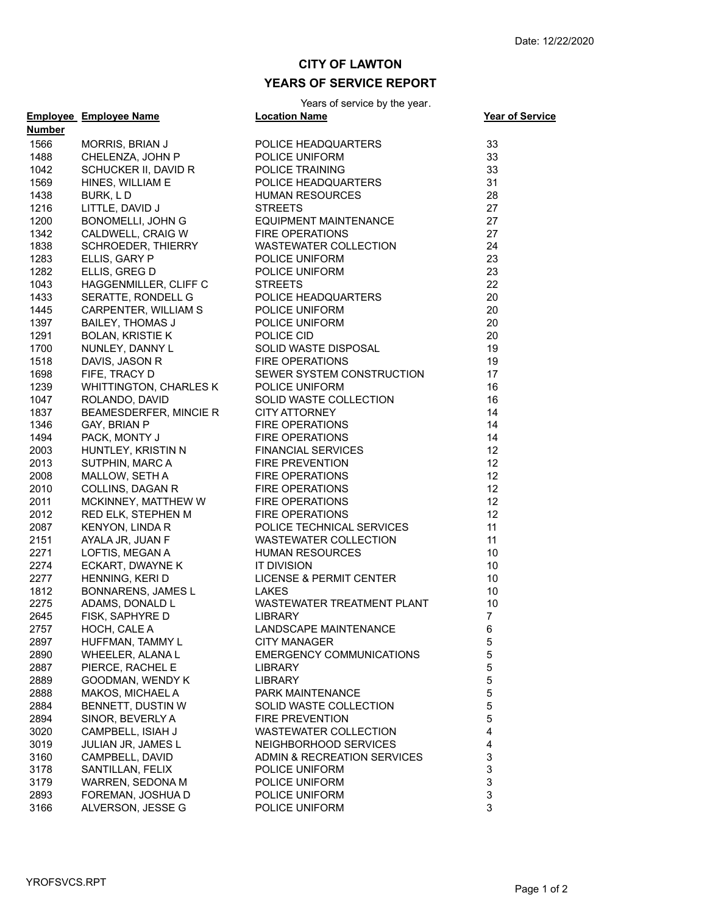## **CITY OF LAWTON YEARS OF SERVICE REPORT**

Years of service by the year.

|        | <b>Employee</b> Employee Name         | <b>I Callo UI SCIVICC Dy the year.</b><br><b>Location Name</b>                                                                                                                                                                                       | <b>Year of Service</b> |
|--------|---------------------------------------|------------------------------------------------------------------------------------------------------------------------------------------------------------------------------------------------------------------------------------------------------|------------------------|
| Number |                                       |                                                                                                                                                                                                                                                      |                        |
| 1566   | MORRIS, BRIAN J                       | POLICE HEADQUARTERS<br>POLICE UNIFORM<br>POLICE TRAINING<br>POLICE HEADQUARTERS<br>HUMAN RESOURCES<br>STREETS<br>EQUIPMENT MAINTENANCE<br>PIPE OPERATIONS                                                                                            | 33                     |
| 1488   | CHELENZA, JOHN P                      |                                                                                                                                                                                                                                                      | 33                     |
| 1042   | SCHUCKER II, DAVID R                  |                                                                                                                                                                                                                                                      | 33                     |
| 1569   | HINES, WILLIAM E                      |                                                                                                                                                                                                                                                      | 31                     |
| 1438   | BURK, LD                              |                                                                                                                                                                                                                                                      | 28                     |
| 1216   | LITTLE, DAVID J                       |                                                                                                                                                                                                                                                      | 27                     |
| 1200   | BONOMELLI, JOHN G                     |                                                                                                                                                                                                                                                      | 27                     |
| 1342   | CALDWELL, CRAIG W                     | <b>FIRE OPERATIONS</b>                                                                                                                                                                                                                               | 27                     |
| 1838   | SCHROEDER, THIERRY                    | WASTEWATER COLLECTION<br>WASTEWATER CULLECTION<br>POLICE UNIFORM<br>STREETS<br>STREETS<br>POLICE HEADQUARTERS<br>POLICE UNIFORM<br>POLICE UNIFORM<br>POLICE CID<br>AND POLICE CID                                                                    | 24                     |
| 1283   | ELLIS, GARY P                         |                                                                                                                                                                                                                                                      | 23                     |
| 1282   | ELLIS, GREG D                         |                                                                                                                                                                                                                                                      | 23                     |
| 1043   | HAGGENMILLER, CLIFF C                 |                                                                                                                                                                                                                                                      | 22                     |
| 1433   | SERATTE, RONDELL G                    |                                                                                                                                                                                                                                                      | 20                     |
| 1445   | CARPENTER, WILLIAM S                  |                                                                                                                                                                                                                                                      | 20                     |
| 1397   | <b>BAILEY, THOMAS J</b>               |                                                                                                                                                                                                                                                      | 20                     |
| 1291   | <b>BOLAN, KRISTIE K</b>               |                                                                                                                                                                                                                                                      | 20                     |
| 1700   | NUNLEY, DANNY L                       | POLICE CID<br>SOLID WASTE DISPOSAL                                                                                                                                                                                                                   | 19                     |
| 1518   | DAVIS, JASON R                        | <b>FIRE OPERATIONS</b>                                                                                                                                                                                                                               | 19                     |
| 1698   | FIFE, TRACY D                         | SEWER SYSTEM CONSTRUCTION                                                                                                                                                                                                                            | 17                     |
| 1239   | WHITTINGTON, CHARLES K                | POLICE UNIFORM                                                                                                                                                                                                                                       | 16                     |
| 1047   | ROLANDO, DAVID                        |                                                                                                                                                                                                                                                      | 16                     |
| 1837   | BEAMESDERFER, MINCIE R                |                                                                                                                                                                                                                                                      | 14                     |
| 1346   | GAY, BRIAN P                          |                                                                                                                                                                                                                                                      | 14                     |
| 1494   | PACK, MONTY J                         |                                                                                                                                                                                                                                                      | 14                     |
| 2003   | HUNTLEY, KRISTIN N<br>SUTPHIN, MARC A | ANT SERVICE SERVICE SERVICE SERVICE SERVICE S<br>FIRE OPERATIONS<br>FINANCIAL SERVICES<br>FIRE PREVENTION<br>FIRE OPERATIONS<br>TIRE OPERATIONS<br>TIRE OPERATIONS<br>RE OPERATIONS<br>NE OPERATIONS<br>NE OPERATIONS<br>NE OPERATIONS<br>THE OPERAT | 12                     |
| 2013   |                                       |                                                                                                                                                                                                                                                      | 12                     |
| 2008   | MALLOW, SETH A                        |                                                                                                                                                                                                                                                      | 12                     |
| 2010   | COLLINS, DAGAN R                      |                                                                                                                                                                                                                                                      | 12                     |
| 2011   | MCKINNEY, MATTHEW W                   |                                                                                                                                                                                                                                                      | 12                     |
| 2012   | RED ELK, STEPHEN M                    |                                                                                                                                                                                                                                                      | 12                     |
| 2087   | KENYON, LINDA R                       |                                                                                                                                                                                                                                                      | 11                     |
| 2151   | AYALA JR, JUAN F                      |                                                                                                                                                                                                                                                      | 11                     |
| 2271   | LOFTIS, MEGAN A                       | HUMAN RESOURCES                                                                                                                                                                                                                                      | 10                     |
| 2274   | ECKART, DWAYNE K                      | IT DIVISION                                                                                                                                                                                                                                          | 10                     |
| 2277   | HENNING, KERI D                       | <b>LICENSE &amp; PERMIT CENTER</b>                                                                                                                                                                                                                   | 10                     |
| 1812   | BONNARENS, JAMES L                    | LAKES                                                                                                                                                                                                                                                | 10                     |
| 2275   | ADAMS, DONALD L                       | WASTEWATER TREATMENT PLANT                                                                                                                                                                                                                           | 10                     |
| 2645   | FISK, SAPHYRE D                       | <b>LIBRARY</b>                                                                                                                                                                                                                                       | $\overline{7}$         |
| 2757   | HOCH, CALE A                          | LANDSCAPE MAINTENANCE                                                                                                                                                                                                                                | 6                      |
| 2897   | HUFFMAN, TAMMY L                      | <b>CITY MANAGER</b>                                                                                                                                                                                                                                  | 5                      |
| 2890   | WHEELER, ALANA L                      | <b>EMERGENCY COMMUNICATIONS</b>                                                                                                                                                                                                                      | 5                      |
| 2887   | PIERCE, RACHEL E                      | LIBRARY                                                                                                                                                                                                                                              | 5                      |
| 2889   | GOODMAN, WENDY K                      | <b>LIBRARY</b>                                                                                                                                                                                                                                       | 5                      |
| 2888   | MAKOS, MICHAEL A                      | PARK MAINTENANCE                                                                                                                                                                                                                                     | 5                      |
| 2884   | BENNETT, DUSTIN W                     | SOLID WASTE COLLECTION                                                                                                                                                                                                                               | 5                      |
| 2894   | SINOR, BEVERLY A                      | FIRE PREVENTION                                                                                                                                                                                                                                      | 5                      |
| 3020   | CAMPBELL, ISIAH J                     | WASTEWATER COLLECTION                                                                                                                                                                                                                                | 4                      |
| 3019   | JULIAN JR, JAMES L                    | NEIGHBORHOOD SERVICES                                                                                                                                                                                                                                | 4                      |
| 3160   | CAMPBELL, DAVID                       | ADMIN & RECREATION SERVICES                                                                                                                                                                                                                          | 3                      |
| 3178   | SANTILLAN, FELIX                      | POLICE UNIFORM                                                                                                                                                                                                                                       | 3                      |
| 3179   | WARREN, SEDONA M                      | POLICE UNIFORM                                                                                                                                                                                                                                       | 3                      |
| 2893   | FOREMAN, JOSHUA D                     | POLICE UNIFORM                                                                                                                                                                                                                                       | 3                      |
| 3166   | ALVERSON, JESSE G                     | POLICE UNIFORM                                                                                                                                                                                                                                       | 3                      |